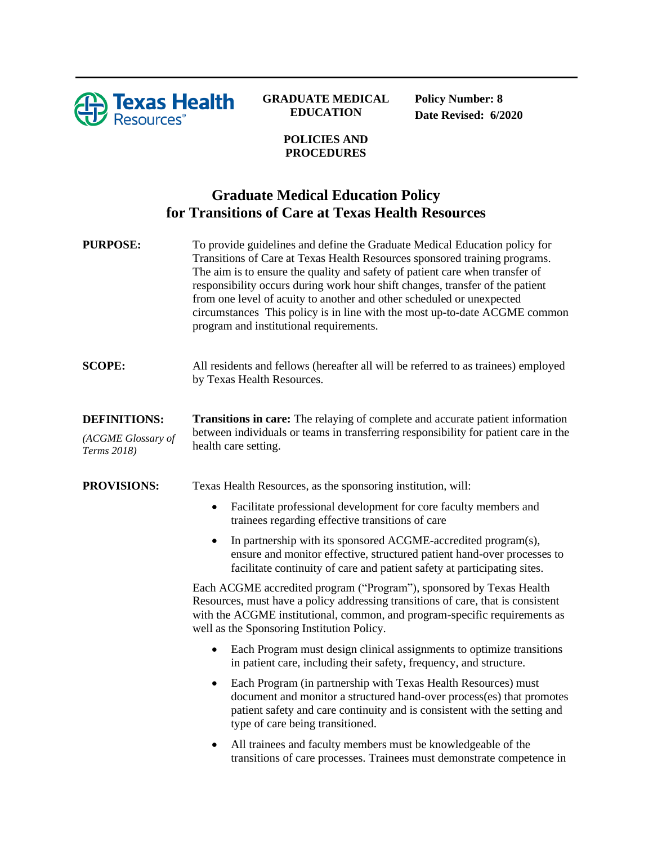

## **GRADUATE MEDICAL EDUCATION**

**Policy Number: 8 Date Revised: 6/2020**

## **POLICIES AND PROCEDURES**

## **Graduate Medical Education Policy for Transitions of Care at Texas Health Resources**

| <b>PURPOSE:</b>                                          | To provide guidelines and define the Graduate Medical Education policy for<br>Transitions of Care at Texas Health Resources sponsored training programs.<br>The aim is to ensure the quality and safety of patient care when transfer of<br>responsibility occurs during work hour shift changes, transfer of the patient<br>from one level of acuity to another and other scheduled or unexpected<br>circumstances This policy is in line with the most up-to-date ACGME common<br>program and institutional requirements. |
|----------------------------------------------------------|-----------------------------------------------------------------------------------------------------------------------------------------------------------------------------------------------------------------------------------------------------------------------------------------------------------------------------------------------------------------------------------------------------------------------------------------------------------------------------------------------------------------------------|
| <b>SCOPE:</b>                                            | All residents and fellows (hereafter all will be referred to as trainees) employed<br>by Texas Health Resources.                                                                                                                                                                                                                                                                                                                                                                                                            |
| <b>DEFINITIONS:</b><br>(ACGME Glossary of<br>Terms 2018) | Transitions in care: The relaying of complete and accurate patient information<br>between individuals or teams in transferring responsibility for patient care in the<br>health care setting.                                                                                                                                                                                                                                                                                                                               |
| <b>PROVISIONS:</b>                                       | Texas Health Resources, as the sponsoring institution, will:<br>Facilitate professional development for core faculty members and<br>$\bullet$                                                                                                                                                                                                                                                                                                                                                                               |
|                                                          | trainees regarding effective transitions of care                                                                                                                                                                                                                                                                                                                                                                                                                                                                            |
|                                                          | In partnership with its sponsored ACGME-accredited program(s),<br>$\bullet$<br>ensure and monitor effective, structured patient hand-over processes to<br>facilitate continuity of care and patient safety at participating sites.                                                                                                                                                                                                                                                                                          |
|                                                          | Each ACGME accredited program ("Program"), sponsored by Texas Health<br>Resources, must have a policy addressing transitions of care, that is consistent<br>with the ACGME institutional, common, and program-specific requirements as<br>well as the Sponsoring Institution Policy.                                                                                                                                                                                                                                        |
|                                                          | Each Program must design clinical assignments to optimize transitions<br>٠<br>in patient care, including their safety, frequency, and structure.                                                                                                                                                                                                                                                                                                                                                                            |
|                                                          | Each Program (in partnership with Texas Health Resources) must<br>$\bullet$<br>document and monitor a structured hand-over process(es) that promotes<br>patient safety and care continuity and is consistent with the setting and<br>type of care being transitioned.                                                                                                                                                                                                                                                       |

• All trainees and faculty members must be knowledgeable of the transitions of care processes. Trainees must demonstrate competence in